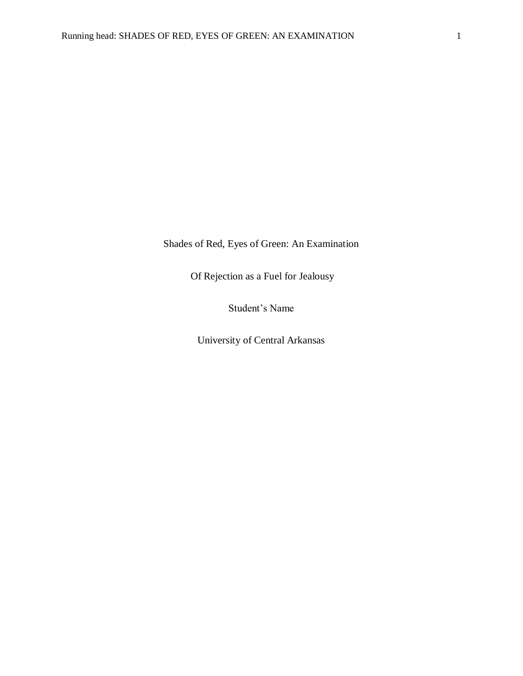Shades of Red, Eyes of Green: An Examination

Of Rejection as a Fuel for Jealousy

Student's Name

University of Central Arkansas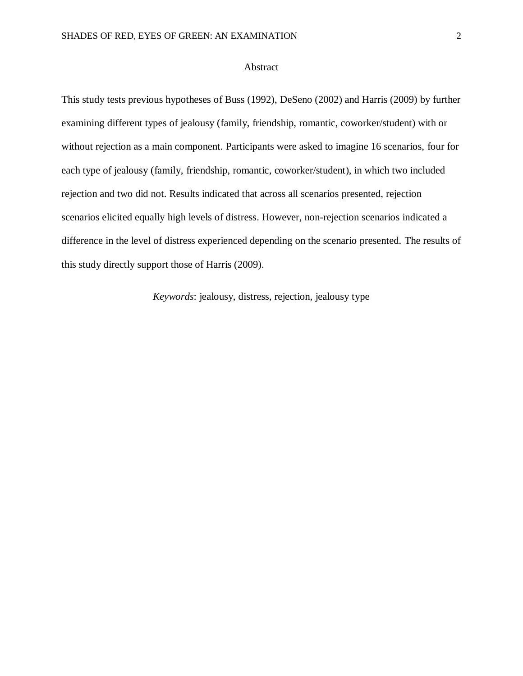## Abstract

This study tests previous hypotheses of Buss (1992), DeSeno (2002) and Harris (2009) by further examining different types of jealousy (family, friendship, romantic, coworker/student) with or without rejection as a main component. Participants were asked to imagine 16 scenarios, four for each type of jealousy (family, friendship, romantic, coworker/student), in which two included rejection and two did not. Results indicated that across all scenarios presented, rejection scenarios elicited equally high levels of distress. However, non-rejection scenarios indicated a difference in the level of distress experienced depending on the scenario presented. The results of this study directly support those of Harris (2009).

*Keywords*: jealousy, distress, rejection, jealousy type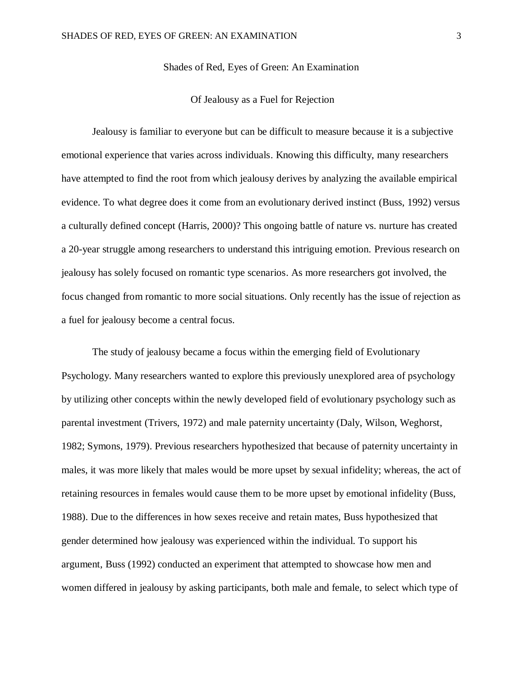Shades of Red, Eyes of Green: An Examination

### Of Jealousy as a Fuel for Rejection

Jealousy is familiar to everyone but can be difficult to measure because it is a subjective emotional experience that varies across individuals. Knowing this difficulty, many researchers have attempted to find the root from which jealousy derives by analyzing the available empirical evidence. To what degree does it come from an evolutionary derived instinct (Buss, 1992) versus a culturally defined concept (Harris, 2000)? This ongoing battle of nature vs. nurture has created a 20-year struggle among researchers to understand this intriguing emotion. Previous research on jealousy has solely focused on romantic type scenarios. As more researchers got involved, the focus changed from romantic to more social situations. Only recently has the issue of rejection as a fuel for jealousy become a central focus.

The study of jealousy became a focus within the emerging field of Evolutionary Psychology. Many researchers wanted to explore this previously unexplored area of psychology by utilizing other concepts within the newly developed field of evolutionary psychology such as parental investment (Trivers, 1972) and male paternity uncertainty (Daly, Wilson, Weghorst, 1982; Symons, 1979). Previous researchers hypothesized that because of paternity uncertainty in males, it was more likely that males would be more upset by sexual infidelity; whereas, the act of retaining resources in females would cause them to be more upset by emotional infidelity (Buss, 1988). Due to the differences in how sexes receive and retain mates, Buss hypothesized that gender determined how jealousy was experienced within the individual. To support his argument, Buss (1992) conducted an experiment that attempted to showcase how men and women differed in jealousy by asking participants, both male and female, to select which type of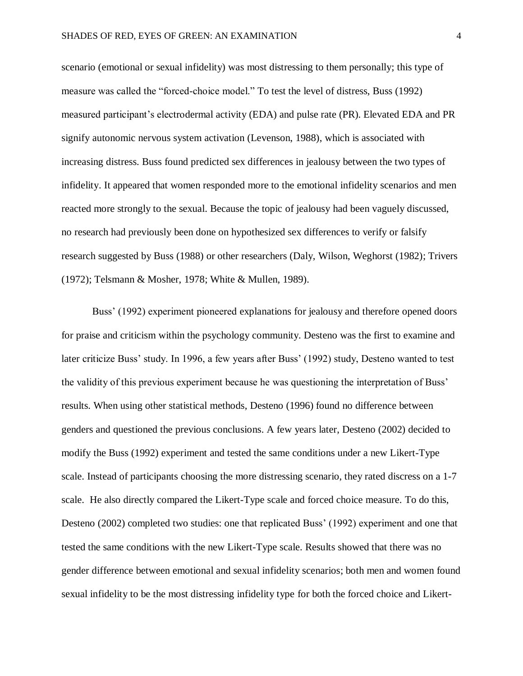scenario (emotional or sexual infidelity) was most distressing to them personally; this type of measure was called the "forced-choice model." To test the level of distress, Buss (1992) measured participant's electrodermal activity (EDA) and pulse rate (PR). Elevated EDA and PR signify autonomic nervous system activation (Levenson, 1988), which is associated with increasing distress. Buss found predicted sex differences in jealousy between the two types of infidelity. It appeared that women responded more to the emotional infidelity scenarios and men reacted more strongly to the sexual. Because the topic of jealousy had been vaguely discussed, no research had previously been done on hypothesized sex differences to verify or falsify research suggested by Buss (1988) or other researchers (Daly, Wilson, Weghorst (1982); Trivers (1972); Telsmann & Mosher, 1978; White & Mullen, 1989).

Buss' (1992) experiment pioneered explanations for jealousy and therefore opened doors for praise and criticism within the psychology community. Desteno was the first to examine and later criticize Buss' study. In 1996, a few years after Buss' (1992) study, Desteno wanted to test the validity of this previous experiment because he was questioning the interpretation of Buss' results. When using other statistical methods, Desteno (1996) found no difference between genders and questioned the previous conclusions. A few years later, Desteno (2002) decided to modify the Buss (1992) experiment and tested the same conditions under a new Likert-Type scale. Instead of participants choosing the more distressing scenario, they rated discress on a 1-7 scale. He also directly compared the Likert-Type scale and forced choice measure. To do this, Desteno (2002) completed two studies: one that replicated Buss' (1992) experiment and one that tested the same conditions with the new Likert-Type scale. Results showed that there was no gender difference between emotional and sexual infidelity scenarios; both men and women found sexual infidelity to be the most distressing infidelity type for both the forced choice and Likert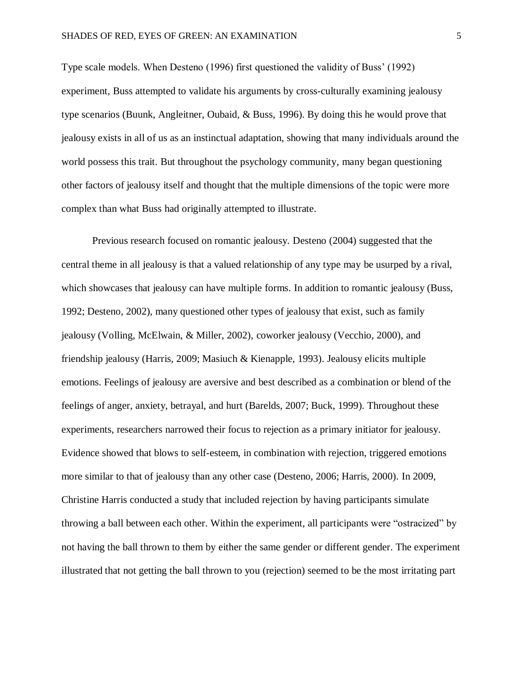Type scale models. When Desteno (1996) first questioned the validity of Buss' (1992) experiment, Buss attempted to validate his arguments by cross-culturally examining jealousy type scenarios (Buunk, Angleitner, Oubaid, & Buss, 1996). By doing this he would prove that jealousy exists in all of us as an instinctual adaptation, showing that many individuals around the world possess this trait. But throughout the psychology community, many began questioning other factors of jealousy itself and thought that the multiple dimensions of the topic were more complex than what Buss had originally attempted to illustrate.

Previous research focused on romantic jealousy. Desteno (2004) suggested that the central theme in all jealousy is that a valued relationship of any type may be usurped by a rival, which showcases that jealousy can have multiple forms. In addition to romantic jealousy (Buss, 1992; Desteno, 2002), many questioned other types of jealousy that exist, such as family jealousy (Volling, McElwain, & Miller, 2002), coworker jealousy (Vecchio, 2000), and friendship jealousy (Harris, 2009; Masiuch & Kienapple, 1993). Jealousy elicits multiple emotions. Feelings of jealousy are aversive and best described as a combination or blend of the feelings of anger, anxiety, betrayal, and hurt (Barelds, 2007; Buck, 1999). Throughout these experiments, researchers narrowed their focus to rejection as a primary initiator for jealousy. Evidence showed that blows to self-esteem, in combination with rejection, triggered emotions more similar to that of jealousy than any other case (Desteno, 2006; Harris, 2000). In 2009, Christine Harris conducted a study that included rejection by having participants simulate throwing a ball between each other. Within the experiment, all participants were "ostracized" by not having the ball thrown to them by either the same gender or different gender. The experiment illustrated that not getting the ball thrown to you (rejection) seemed to be the most irritating part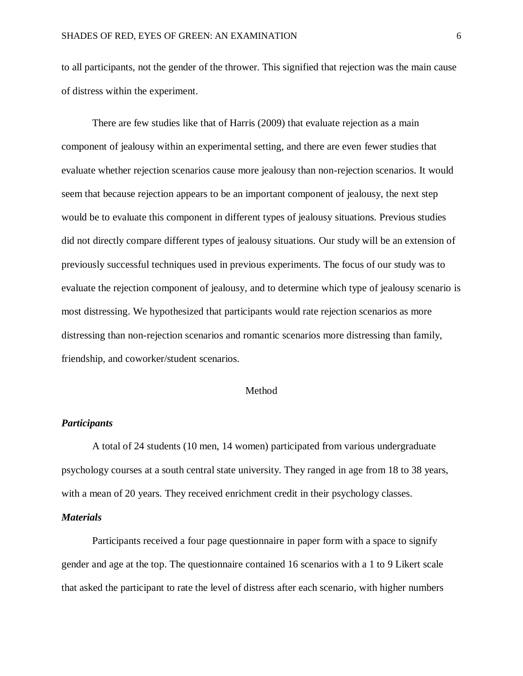to all participants, not the gender of the thrower. This signified that rejection was the main cause of distress within the experiment.

There are few studies like that of Harris (2009) that evaluate rejection as a main component of jealousy within an experimental setting, and there are even fewer studies that evaluate whether rejection scenarios cause more jealousy than non-rejection scenarios. It would seem that because rejection appears to be an important component of jealousy, the next step would be to evaluate this component in different types of jealousy situations. Previous studies did not directly compare different types of jealousy situations. Our study will be an extension of previously successful techniques used in previous experiments. The focus of our study was to evaluate the rejection component of jealousy, and to determine which type of jealousy scenario is most distressing. We hypothesized that participants would rate rejection scenarios as more distressing than non-rejection scenarios and romantic scenarios more distressing than family, friendship, and coworker/student scenarios.

## Method

## *Participants*

A total of 24 students (10 men, 14 women) participated from various undergraduate psychology courses at a south central state university. They ranged in age from 18 to 38 years, with a mean of 20 years. They received enrichment credit in their psychology classes.

## *Materials*

Participants received a four page questionnaire in paper form with a space to signify gender and age at the top. The questionnaire contained 16 scenarios with a 1 to 9 Likert scale that asked the participant to rate the level of distress after each scenario, with higher numbers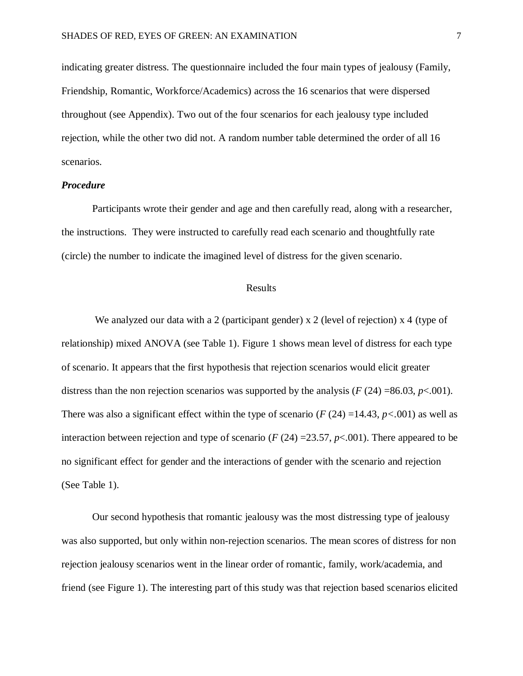indicating greater distress. The questionnaire included the four main types of jealousy (Family, Friendship, Romantic, Workforce/Academics) across the 16 scenarios that were dispersed throughout (see Appendix). Two out of the four scenarios for each jealousy type included rejection, while the other two did not. A random number table determined the order of all 16 scenarios.

#### *Procedure*

Participants wrote their gender and age and then carefully read, along with a researcher, the instructions. They were instructed to carefully read each scenario and thoughtfully rate (circle) the number to indicate the imagined level of distress for the given scenario.

### Results

We analyzed our data with a 2 (participant gender)  $x$  2 (level of rejection)  $x$  4 (type of relationship) mixed ANOVA (see Table 1). Figure 1 shows mean level of distress for each type of scenario. It appears that the first hypothesis that rejection scenarios would elicit greater distress than the non rejection scenarios was supported by the analysis  $(F(24) = 86.03, p < .001)$ . There was also a significant effect within the type of scenario  $(F(24) = 14.43, p < .001)$  as well as interaction between rejection and type of scenario ( $F(24) = 23.57$ ,  $p < .001$ ). There appeared to be no significant effect for gender and the interactions of gender with the scenario and rejection (See Table 1).

Our second hypothesis that romantic jealousy was the most distressing type of jealousy was also supported, but only within non-rejection scenarios. The mean scores of distress for non rejection jealousy scenarios went in the linear order of romantic, family, work/academia, and friend (see Figure 1). The interesting part of this study was that rejection based scenarios elicited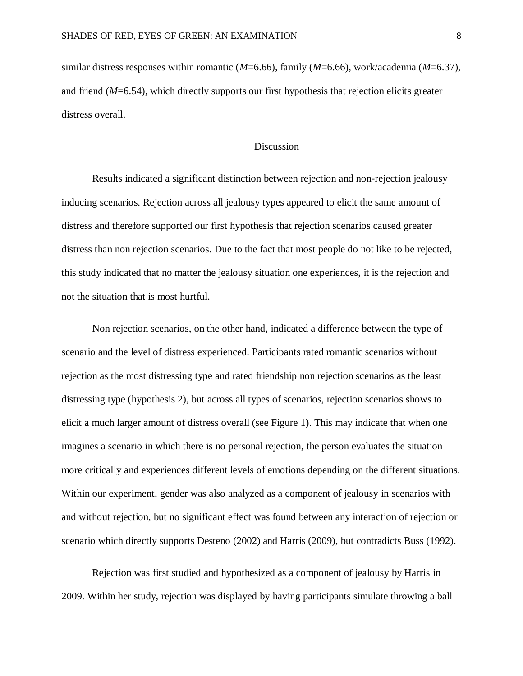similar distress responses within romantic (*M*=6.66), family (*M*=6.66), work/academia (*M*=6.37), and friend (*M*=6.54), which directly supports our first hypothesis that rejection elicits greater distress overall.

## Discussion

Results indicated a significant distinction between rejection and non-rejection jealousy inducing scenarios. Rejection across all jealousy types appeared to elicit the same amount of distress and therefore supported our first hypothesis that rejection scenarios caused greater distress than non rejection scenarios. Due to the fact that most people do not like to be rejected, this study indicated that no matter the jealousy situation one experiences, it is the rejection and not the situation that is most hurtful.

Non rejection scenarios, on the other hand, indicated a difference between the type of scenario and the level of distress experienced. Participants rated romantic scenarios without rejection as the most distressing type and rated friendship non rejection scenarios as the least distressing type (hypothesis 2), but across all types of scenarios, rejection scenarios shows to elicit a much larger amount of distress overall (see Figure 1). This may indicate that when one imagines a scenario in which there is no personal rejection, the person evaluates the situation more critically and experiences different levels of emotions depending on the different situations. Within our experiment, gender was also analyzed as a component of jealousy in scenarios with and without rejection, but no significant effect was found between any interaction of rejection or scenario which directly supports Desteno (2002) and Harris (2009), but contradicts Buss (1992).

Rejection was first studied and hypothesized as a component of jealousy by Harris in 2009. Within her study, rejection was displayed by having participants simulate throwing a ball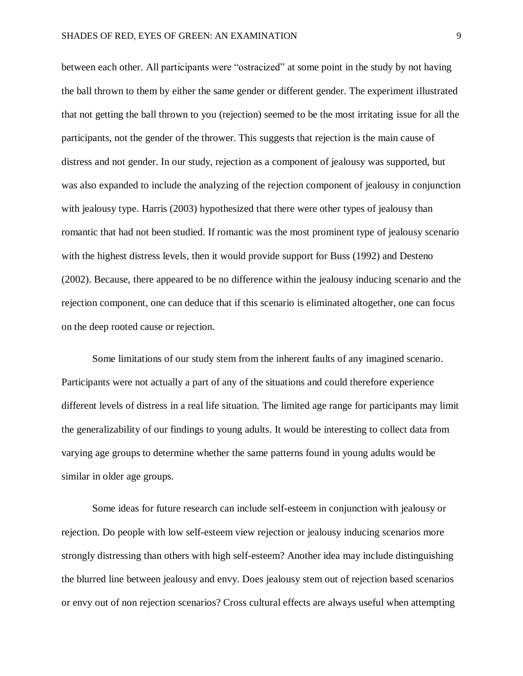between each other. All participants were "ostracized" at some point in the study by not having the ball thrown to them by either the same gender or different gender. The experiment illustrated that not getting the ball thrown to you (rejection) seemed to be the most irritating issue for all the participants, not the gender of the thrower. This suggests that rejection is the main cause of distress and not gender. In our study, rejection as a component of jealousy was supported, but was also expanded to include the analyzing of the rejection component of jealousy in conjunction with jealousy type. Harris (2003) hypothesized that there were other types of jealousy than romantic that had not been studied. If romantic was the most prominent type of jealousy scenario with the highest distress levels, then it would provide support for Buss (1992) and Desteno (2002). Because, there appeared to be no difference within the jealousy inducing scenario and the rejection component, one can deduce that if this scenario is eliminated altogether, one can focus on the deep rooted cause or rejection.

Some limitations of our study stem from the inherent faults of any imagined scenario. Participants were not actually a part of any of the situations and could therefore experience different levels of distress in a real life situation. The limited age range for participants may limit the generalizability of our findings to young adults. It would be interesting to collect data from varying age groups to determine whether the same patterns found in young adults would be similar in older age groups.

Some ideas for future research can include self-esteem in conjunction with jealousy or rejection. Do people with low self-esteem view rejection or jealousy inducing scenarios more strongly distressing than others with high self-esteem? Another idea may include distinguishing the blurred line between jealousy and envy. Does jealousy stem out of rejection based scenarios or envy out of non rejection scenarios? Cross cultural effects are always useful when attempting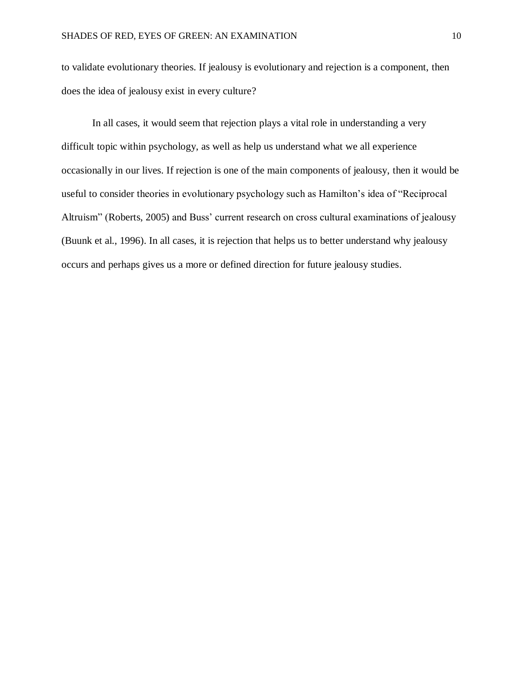to validate evolutionary theories. If jealousy is evolutionary and rejection is a component, then does the idea of jealousy exist in every culture?

In all cases, it would seem that rejection plays a vital role in understanding a very difficult topic within psychology, as well as help us understand what we all experience occasionally in our lives. If rejection is one of the main components of jealousy, then it would be useful to consider theories in evolutionary psychology such as Hamilton's idea of "Reciprocal Altruism" (Roberts, 2005) and Buss' current research on cross cultural examinations of jealousy (Buunk et al., 1996). In all cases, it is rejection that helps us to better understand why jealousy occurs and perhaps gives us a more or defined direction for future jealousy studies.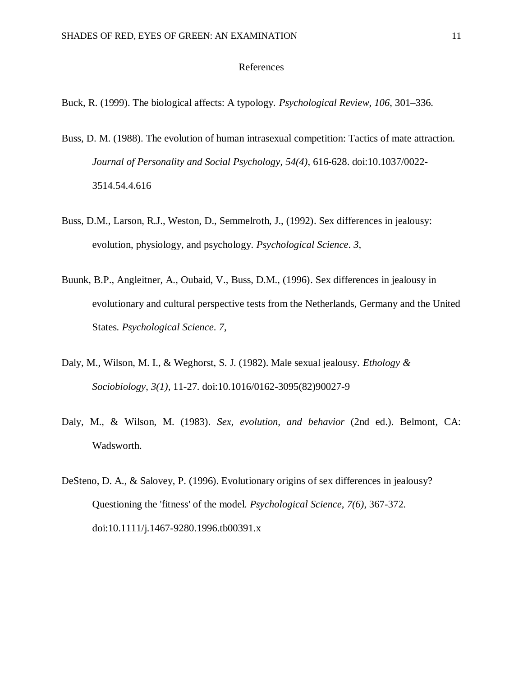#### References

Buck, R. (1999). The biological affects: A typology. *Psychological Review*, *106*, 301–336.

- Buss, D. M. (1988). The evolution of human intrasexual competition: Tactics of mate attraction. *Journal of Personality and Social Psychology*, *54(4)*, 616-628. doi:10.1037/0022- 3514.54.4.616
- Buss, D.M., Larson, R.J., Weston, D., Semmelroth, J., (1992). Sex differences in jealousy: evolution, physiology, and psychology. *Psychological Science*. *3,*
- Buunk, B.P., Angleitner, A., Oubaid, V., Buss, D.M., (1996). Sex differences in jealousy in evolutionary and cultural perspective tests from the Netherlands, Germany and the United States*. Psychological Science*. *7,*
- Daly, M., Wilson, M. I., & Weghorst, S. J. (1982). Male sexual jealousy. *Ethology & Sociobiology*, *3(1)*, 11-27. doi:10.1016/0162-3095(82)90027-9
- Daly, M., & Wilson, M. (1983). *Sex, evolution, and behavior* (2nd ed.). Belmont, CA: Wadsworth.
- DeSteno, D. A., & Salovey, P. (1996). Evolutionary origins of sex differences in jealousy? Questioning the 'fitness' of the model. *Psychological Science*, *7(6)*, 367-372. doi:10.1111/j.1467-9280.1996.tb00391.x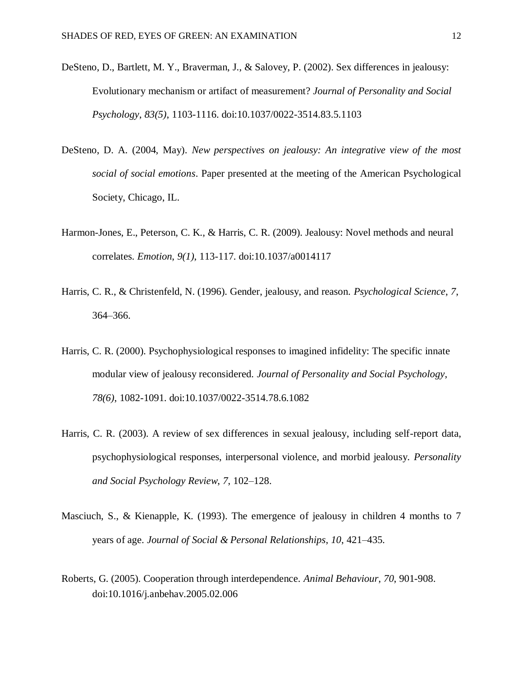- DeSteno, D., Bartlett, M. Y., Braverman, J., & Salovey, P. (2002). Sex differences in jealousy: Evolutionary mechanism or artifact of measurement? *Journal of Personality and Social Psychology*, *83(5)*, 1103-1116. doi:10.1037/0022-3514.83.5.1103
- DeSteno, D. A. (2004, May). *New perspectives on jealousy: An integrative view of the most social of social emotions*. Paper presented at the meeting of the American Psychological Society, Chicago, IL.
- Harmon-Jones, E., Peterson, C. K., & Harris, C. R. (2009). Jealousy: Novel methods and neural correlates. *Emotion*, *9(1)*, 113-117. doi:10.1037/a0014117
- Harris, C. R., & Christenfeld, N. (1996). Gender, jealousy, and reason. *Psychological Science*, *7*, 364–366.
- Harris, C. R. (2000). Psychophysiological responses to imagined infidelity: The specific innate modular view of jealousy reconsidered. *Journal of Personality and Social Psychology*, *78(6)*, 1082-1091. doi:10.1037/0022-3514.78.6.1082
- Harris, C. R. (2003). A review of sex differences in sexual jealousy, including self-report data, psychophysiological responses, interpersonal violence, and morbid jealousy. *Personality and Social Psychology Review*, *7*, 102–128.
- Masciuch, S., & Kienapple, K. (1993). The emergence of jealousy in children 4 months to 7 years of age. *Journal of Social & Personal Relationships*, *10*, 421–435.
- Roberts, G. (2005). Cooperation through interdependence. *Animal Behaviour*, *70*, 901-908. doi:10.1016/j.anbehav.2005.02.006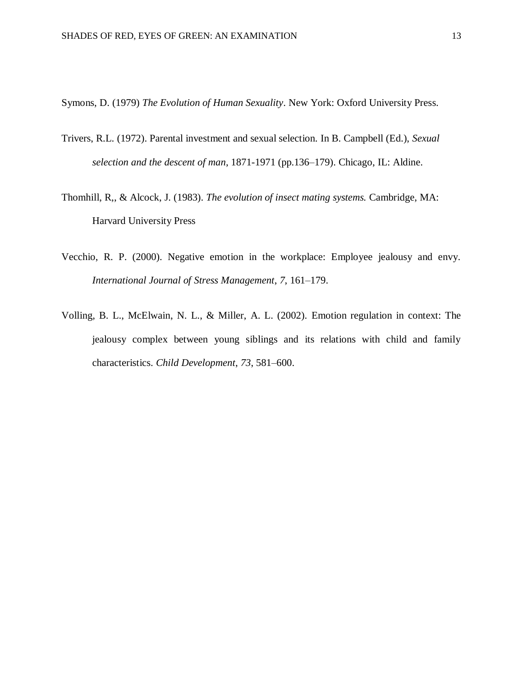Symons, D. (1979) *The Evolution of Human Sexuality*. New York: Oxford University Press.

- [Trivers, R.L.](http://en.wikipedia.org/wiki/Robert_Trivers) (1972). Parental investment and sexual selection. In B. Campbell (Ed.), *Sexual selection and the descent of man*, 1871-1971 (pp.136–179). Chicago, IL: Aldine.
- Thomhill, R,, & Alcock, J. (1983). *The evolution of insect mating systems.* Cambridge, MA: Harvard University Press
- Vecchio, R. P. (2000). Negative emotion in the workplace: Employee jealousy and envy. *International Journal of Stress Management*, *7*, 161–179.
- Volling, B. L., McElwain, N. L., & Miller, A. L. (2002). Emotion regulation in context: The jealousy complex between young siblings and its relations with child and family characteristics. *Child Development*, *73*, 581–600.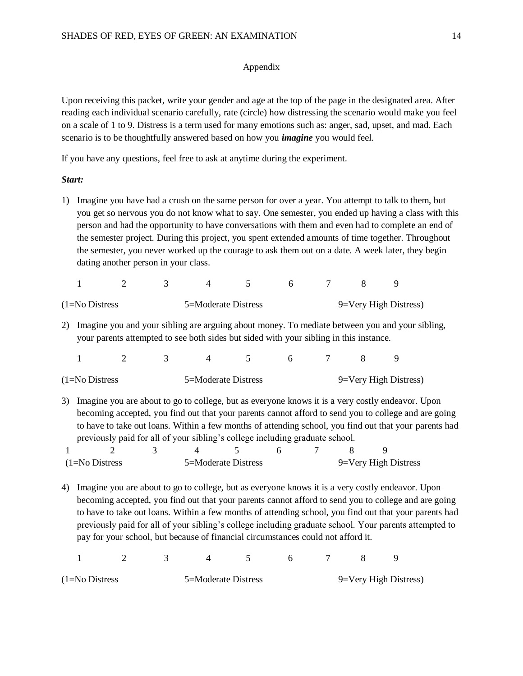### Appendix

Upon receiving this packet, write your gender and age at the top of the page in the designated area. After reading each individual scenario carefully, rate (circle) how distressing the scenario would make you feel on a scale of 1 to 9. Distress is a term used for many emotions such as: anger, sad, upset, and mad. Each scenario is to be thoughtfully answered based on how you *imagine* you would feel.

If you have any questions, feel free to ask at anytime during the experiment.

### *Start:*

1) Imagine you have had a crush on the same person for over a year. You attempt to talk to them, but you get so nervous you do not know what to say. One semester, you ended up having a class with this person and had the opportunity to have conversations with them and even had to complete an end of the semester project. During this project, you spent extended amounts of time together. Throughout the semester, you never worked up the courage to ask them out on a date. A week later, they begin dating another person in your class.

| $(1=No$ Distress |  | 5=Moderate Distress |  |  | 9=Very High Distress) |  |
|------------------|--|---------------------|--|--|-----------------------|--|

2) Imagine you and your sibling are arguing about money. To mediate between you and your sibling, your parents attempted to see both sides but sided with your sibling in this instance.

| $1 \qquad 2 \qquad 3 \qquad 4 \qquad 5 \qquad 6 \qquad 7 \qquad 8 \qquad 9$ |  |  |  |  |  |  |  |  |  |
|-----------------------------------------------------------------------------|--|--|--|--|--|--|--|--|--|
|-----------------------------------------------------------------------------|--|--|--|--|--|--|--|--|--|

| $(1=No$ Distress | 5=Moderate Distress | 9=Very High Distress) |
|------------------|---------------------|-----------------------|
|                  |                     |                       |

3) Imagine you are about to go to college, but as everyone knows it is a very costly endeavor. Upon becoming accepted, you find out that your parents cannot afford to send you to college and are going to have to take out loans. Within a few months of attending school, you find out that your parents had previously paid for all of your sibling's college including graduate school.

| $(1=No$ Distress |  | 5=Moderate Distress |  | 9=Very High Distress |  |
|------------------|--|---------------------|--|----------------------|--|

4) Imagine you are about to go to college, but as everyone knows it is a very costly endeavor. Upon becoming accepted, you find out that your parents cannot afford to send you to college and are going to have to take out loans. Within a few months of attending school, you find out that your parents had previously paid for all of your sibling's college including graduate school. Your parents attempted to pay for your school, but because of financial circumstances could not afford it.

1 2 3 4 5 6 7 8 9

| $(1=No$ Distress | 5=Moderate Distress | 9=Very High Distress) |
|------------------|---------------------|-----------------------|
|------------------|---------------------|-----------------------|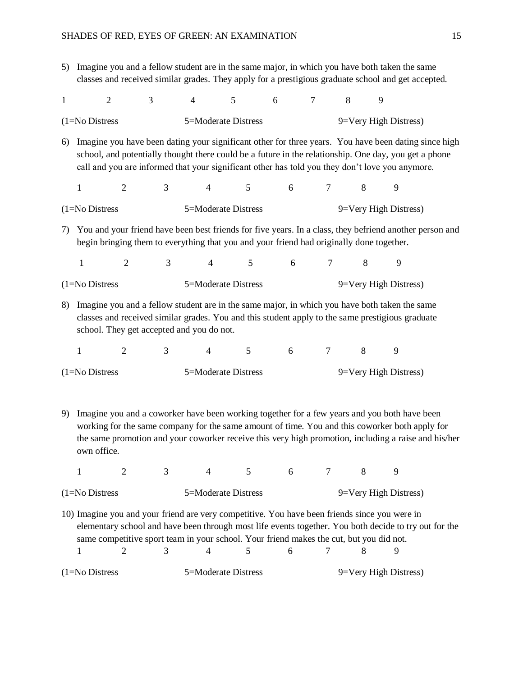5) Imagine you and a fellow student are in the same major, in which you have both taken the same classes and received similar grades. They apply for a prestigious graduate school and get accepted.

| $\mathbf{1}$                                                                                                                                                                                              | $\overline{2}$                                                                                                                                                                                                                                                                                                                                              | 3              | $\overline{4}$ | 5                   |                | 6 | $\overline{7}$ | 8 | 9 |                       |
|-----------------------------------------------------------------------------------------------------------------------------------------------------------------------------------------------------------|-------------------------------------------------------------------------------------------------------------------------------------------------------------------------------------------------------------------------------------------------------------------------------------------------------------------------------------------------------------|----------------|----------------|---------------------|----------------|---|----------------|---|---|-----------------------|
|                                                                                                                                                                                                           | 5=Moderate Distress<br>9=Very High Distress)<br>$(1=No$ Distress                                                                                                                                                                                                                                                                                            |                |                |                     |                |   |                |   |   |                       |
| 6)                                                                                                                                                                                                        | Imagine you have been dating your significant other for three years. You have been dating since high<br>school, and potentially thought there could be a future in the relationship. One day, you get a phone<br>call and you are informed that your significant other has told you they don't love you anymore.                                            |                |                |                     |                |   |                |   |   |                       |
|                                                                                                                                                                                                           | $\mathbf{1}$                                                                                                                                                                                                                                                                                                                                                | $\overline{2}$ | 3              | $\overline{4}$      | 5 <sup>5</sup> | 6 | $\overline{7}$ |   | 8 | 9                     |
|                                                                                                                                                                                                           | $(1=No$ Distress                                                                                                                                                                                                                                                                                                                                            |                |                | 5=Moderate Distress |                |   |                |   |   | 9=Very High Distress) |
| You and your friend have been best friends for five years. In a class, they befriend another person and<br>7)<br>begin bringing them to everything that you and your friend had originally done together. |                                                                                                                                                                                                                                                                                                                                                             |                |                |                     |                |   |                |   |   |                       |
|                                                                                                                                                                                                           | 1                                                                                                                                                                                                                                                                                                                                                           | $\overline{2}$ | 3              | 4                   | 5              | 6 | $\tau$         |   | 8 | 9                     |
|                                                                                                                                                                                                           | $(1=No$ Distress                                                                                                                                                                                                                                                                                                                                            |                |                | 5=Moderate Distress |                |   |                |   |   | 9=Very High Distress) |
| 8)                                                                                                                                                                                                        | Imagine you and a fellow student are in the same major, in which you have both taken the same<br>classes and received similar grades. You and this student apply to the same prestigious graduate<br>school. They get accepted and you do not.                                                                                                              |                |                |                     |                |   |                |   |   |                       |
|                                                                                                                                                                                                           | 1                                                                                                                                                                                                                                                                                                                                                           | $\overline{2}$ | 3              | 4                   | 5              | 6 | $\tau$         |   | 8 | 9                     |
|                                                                                                                                                                                                           | $(1=No$ Distress                                                                                                                                                                                                                                                                                                                                            |                |                | 5=Moderate Distress |                |   |                |   |   | 9=Very High Distress) |
| 9)                                                                                                                                                                                                        | Imagine you and a coworker have been working together for a few years and you both have been<br>working for the same company for the same amount of time. You and this coworker both apply for<br>the same promotion and your coworker receive this very high promotion, including a raise and his/her<br>own office.                                       |                |                |                     |                |   |                |   |   |                       |
|                                                                                                                                                                                                           | 1                                                                                                                                                                                                                                                                                                                                                           | $\overline{2}$ | 3              | 4                   | 5              | 6 | $\tau$         |   | 8 | 9                     |
|                                                                                                                                                                                                           | 5=Moderate Distress<br>9=Very High Distress)<br>$(1=No$ Distress                                                                                                                                                                                                                                                                                            |                |                |                     |                |   |                |   |   |                       |
|                                                                                                                                                                                                           | 10) Imagine you and your friend are very competitive. You have been friends since you were in<br>elementary school and have been through most life events together. You both decide to try out for the<br>same competitive sport team in your school. Your friend makes the cut, but you did not.<br>3<br>7<br>9<br>1<br>$\overline{2}$<br>4<br>5<br>6<br>8 |                |                |                     |                |   |                |   |   |                       |

(1=No Distress 5=Moderate Distress 9=Very High Distress)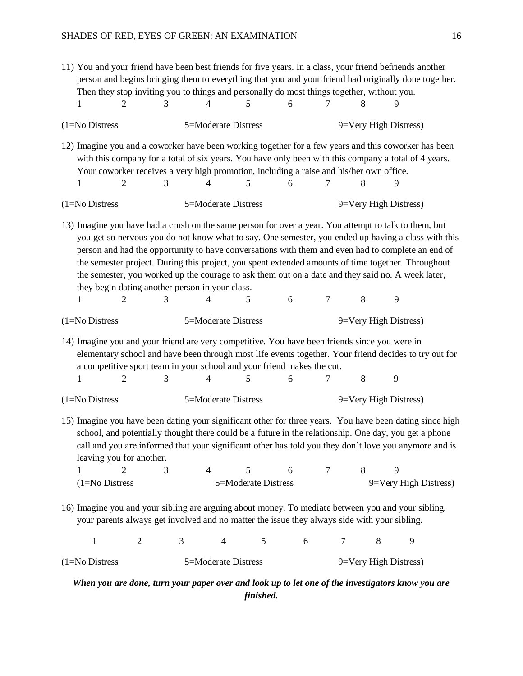| 11) You and your friend have been best friends for five years. In a class, your friend befriends another<br>person and begins bringing them to everything that you and your friend had originally done together.<br>Then they stop inviting you to things and personally do most things together, without you.<br>6<br>5<br>8<br>9<br>2<br>3<br>4<br>7<br>1                                                                                                                                                                                                                     |                                                                                                                                                                                                                                                                                  |                                                                                                                                                                                                      |                     |   |                       |                |                       |  |
|---------------------------------------------------------------------------------------------------------------------------------------------------------------------------------------------------------------------------------------------------------------------------------------------------------------------------------------------------------------------------------------------------------------------------------------------------------------------------------------------------------------------------------------------------------------------------------|----------------------------------------------------------------------------------------------------------------------------------------------------------------------------------------------------------------------------------------------------------------------------------|------------------------------------------------------------------------------------------------------------------------------------------------------------------------------------------------------|---------------------|---|-----------------------|----------------|-----------------------|--|
| $(1=No$ Distress                                                                                                                                                                                                                                                                                                                                                                                                                                                                                                                                                                |                                                                                                                                                                                                                                                                                  | 5=Moderate Distress                                                                                                                                                                                  |                     |   |                       |                | 9=Very High Distress) |  |
| 12) Imagine you and a coworker have been working together for a few years and this coworker has been<br>$\overline{2}$<br>1                                                                                                                                                                                                                                                                                                                                                                                                                                                     | 3                                                                                                                                                                                                                                                                                | with this company for a total of six years. You have only been with this company a total of 4 years.<br>Your coworker receives a very high promotion, including a raise and his/her own office.<br>4 | 5                   | 6 | 7                     | 8              | 9                     |  |
| $(1=No$ Distress                                                                                                                                                                                                                                                                                                                                                                                                                                                                                                                                                                |                                                                                                                                                                                                                                                                                  | 5=Moderate Distress                                                                                                                                                                                  |                     |   |                       |                | 9=Very High Distress) |  |
| 13) Imagine you have had a crush on the same person for over a year. You attempt to talk to them, but<br>you get so nervous you do not know what to say. One semester, you ended up having a class with this<br>person and had the opportunity to have conversations with them and even had to complete an end of<br>the semester project. During this project, you spent extended amounts of time together. Throughout<br>the semester, you worked up the courage to ask them out on a date and they said no. A week later,<br>they begin dating another person in your class. |                                                                                                                                                                                                                                                                                  |                                                                                                                                                                                                      |                     |   |                       |                |                       |  |
| 2<br>1                                                                                                                                                                                                                                                                                                                                                                                                                                                                                                                                                                          | 3                                                                                                                                                                                                                                                                                | 4                                                                                                                                                                                                    | 5                   | 6 | 7                     | 8              | 9                     |  |
| $(1=No$ Distress                                                                                                                                                                                                                                                                                                                                                                                                                                                                                                                                                                |                                                                                                                                                                                                                                                                                  | 5=Moderate Distress                                                                                                                                                                                  |                     |   |                       |                | 9=Very High Distress) |  |
|                                                                                                                                                                                                                                                                                                                                                                                                                                                                                                                                                                                 | 14) Imagine you and your friend are very competitive. You have been friends since you were in<br>elementary school and have been through most life events together. Your friend decides to try out for<br>a competitive sport team in your school and your friend makes the cut. |                                                                                                                                                                                                      |                     |   |                       |                |                       |  |
| $\overline{2}$<br>1                                                                                                                                                                                                                                                                                                                                                                                                                                                                                                                                                             | 3                                                                                                                                                                                                                                                                                | 4                                                                                                                                                                                                    | 5                   | 6 | 7                     | 8              | 9                     |  |
| $(1=No$ Distress                                                                                                                                                                                                                                                                                                                                                                                                                                                                                                                                                                | 5=Moderate Distress                                                                                                                                                                                                                                                              |                                                                                                                                                                                                      |                     |   | 9=Very High Distress) |                |                       |  |
| 15) Imagine you have been dating your significant other for three years. You have been dating since high<br>school, and potentially thought there could be a future in the relationship. One day, you get a phone<br>call and you are informed that your significant other has told you they don't love you anymore and is<br>leaving you for another.                                                                                                                                                                                                                          |                                                                                                                                                                                                                                                                                  |                                                                                                                                                                                                      |                     |   |                       |                |                       |  |
| 1<br>$\overline{2}$                                                                                                                                                                                                                                                                                                                                                                                                                                                                                                                                                             | 3                                                                                                                                                                                                                                                                                | $\overline{4}$                                                                                                                                                                                       | 5                   | 6 | $\tau$                | 8              | 9                     |  |
| $(1=N0)$ Distress                                                                                                                                                                                                                                                                                                                                                                                                                                                                                                                                                               |                                                                                                                                                                                                                                                                                  |                                                                                                                                                                                                      | 5=Moderate Distress |   |                       |                | 9=Very High Distress) |  |
| 16) Imagine you and your sibling are arguing about money. To mediate between you and your sibling,<br>your parents always get involved and no matter the issue they always side with your sibling.                                                                                                                                                                                                                                                                                                                                                                              |                                                                                                                                                                                                                                                                                  |                                                                                                                                                                                                      |                     |   |                       |                |                       |  |
| $\mathbf{1}$                                                                                                                                                                                                                                                                                                                                                                                                                                                                                                                                                                    | $\overline{2}$                                                                                                                                                                                                                                                                   | 3<br>4                                                                                                                                                                                               | $\mathfrak{S}$      | 6 |                       | $\overline{7}$ | 8<br>9                |  |
| 5=Moderate Distress<br>$(1=No$ Distress<br>9=Very High Distress)                                                                                                                                                                                                                                                                                                                                                                                                                                                                                                                |                                                                                                                                                                                                                                                                                  |                                                                                                                                                                                                      |                     |   |                       |                |                       |  |

*When you are done, turn your paper over and look up to let one of the investigators know you are finished.*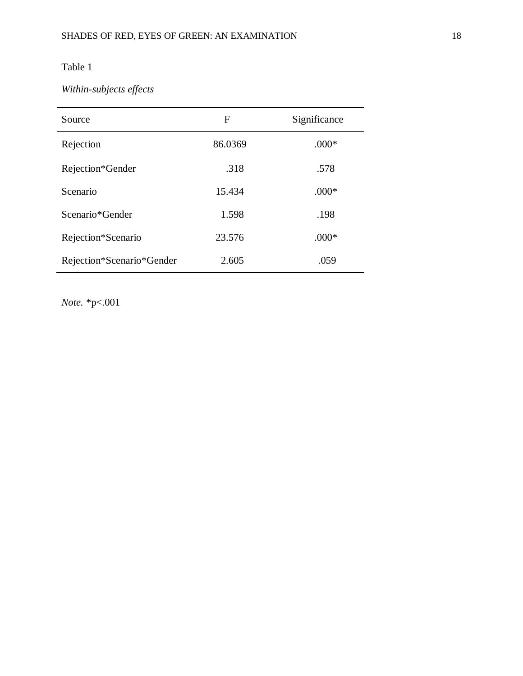# Table 1

# *Within-subjects effects*

| Source                    | F       | Significance |
|---------------------------|---------|--------------|
| Rejection                 | 86.0369 | $.000*$      |
| Rejection*Gender          | .318    | .578         |
| Scenario                  | 15.434  | $.000*$      |
| Scenario*Gender           | 1.598   | .198         |
| Rejection*Scenario        | 23.576  | $.000*$      |
| Rejection*Scenario*Gender | 2.605   | .059         |

*Note.* \*p<.001